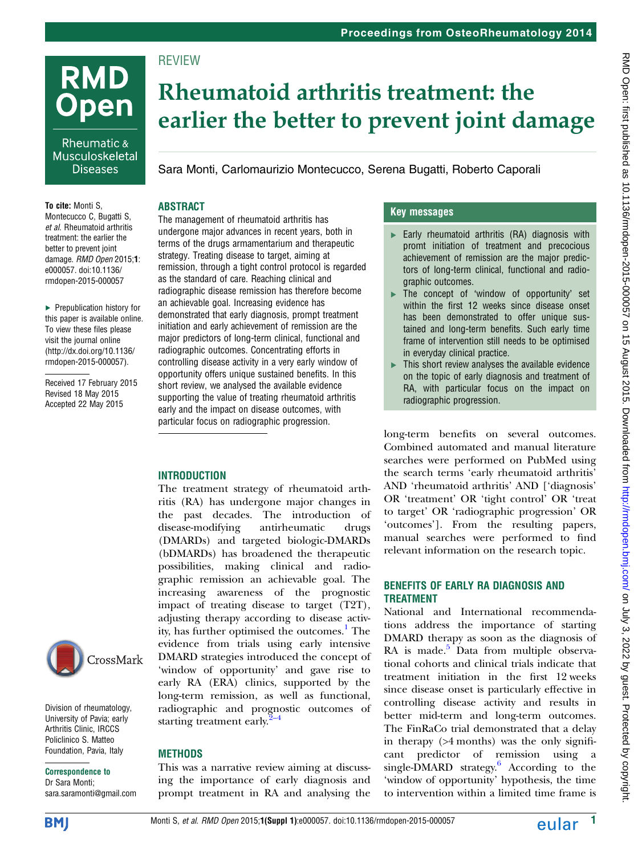# **RMD Open**

Rheumatic & Musculoskeletal **Diseases** 

To cite: Monti S, Montecucco C, Bugatti S, et al. Rheumatoid arthritis treatment: the earlier the better to prevent joint damage. RMD Open 2015;1: e000057. doi:10.1136/ rmdopen-2015-000057

▸ Prepublication history for this paper is available online. To view these files please visit the journal online [\(http://dx.doi.org/10.1136/](http://dx.doi.org/10.1136/rmdopen-2015-000057) [rmdopen-2015-000057](http://dx.doi.org/10.1136/rmdopen-2015-000057)).

Received 17 February 2015 Revised 18 May 2015 Accepted 22 May 2015



Division of rheumatology, University of Pavia; early Arthritis Clinic, IRCCS Policlinico S. Matteo Foundation, Pavia, Italy

Correspondence to Dr Sara Monti; sara.saramonti@gmail.com

## Rheumatoid arthritis treatment: the earlier the better to prevent joint damage

Sara Monti, Carlomaurizio Montecucco, Serena Bugatti, Roberto Caporali

#### ABSTRACT

**REVIEW** 

The management of rheumatoid arthritis has undergone major advances in recent years, both in terms of the drugs armamentarium and therapeutic strategy. Treating disease to target, aiming at remission, through a tight control protocol is regarded as the standard of care. Reaching clinical and radiographic disease remission has therefore become an achievable goal. Increasing evidence has demonstrated that early diagnosis, prompt treatment initiation and early achievement of remission are the major predictors of long-term clinical, functional and radiographic outcomes. Concentrating efforts in controlling disease activity in a very early window of opportunity offers unique sustained benefits. In this short review, we analysed the available evidence supporting the value of treating rheumatoid arthritis early and the impact on disease outcomes, with particular focus on radiographic progression.

### INTRODUCTION

The treatment strategy of rheumatoid arthritis (RA) has undergone major changes in the past decades. The introduction of disease-modifying antirheumatic drugs (DMARDs) and targeted biologic-DMARDs (bDMARDs) has broadened the therapeutic possibilities, making clinical and radiographic remission an achievable goal. The increasing awareness of the prognostic impact of treating disease to target (T2T), adjusting therapy according to disease activ-ity, has further optimised the outcomes.<sup>[1](#page-3-0)</sup> The evidence from trials using early intensive DMARD strategies introduced the concept of 'window of opportunity' and gave rise to early RA (ERA) clinics, supported by the long-term remission, as well as functional, radiographic and pro[gno](#page-3-0)stic outcomes of starting treatment early. $2-4$ 

#### METHODS

This was a narrative review aiming at discussing the importance of early diagnosis and prompt treatment in RA and analysing the

### Key messages

- $\blacktriangleright$  Early rheumatoid arthritis (RA) diagnosis with promt initiation of treatment and precocious achievement of remission are the major predictors of long-term clinical, functional and radiographic outcomes.
- ▸ The concept of 'window of opportunity' set within the first 12 weeks since disease onset has been demonstrated to offer unique sustained and long-term benefits. Such early time frame of intervention still needs to be optimised in everyday clinical practice.
- $\blacktriangleright$  This short review analyses the available evidence on the topic of early diagnosis and treatment of RA, with particular focus on the impact on radiographic progression.

long-term benefits on several outcomes. Combined automated and manual literature searches were performed on PubMed using the search terms 'early rheumatoid arthritis' AND 'rheumatoid arthritis' AND ['diagnosis' OR 'treatment' OR 'tight control' OR 'treat to target' OR 'radiographic progression' OR 'outcomes']. From the resulting papers, manual searches were performed to find relevant information on the research topic.

#### BENEFITS OF EARLY RA DIAGNOSIS AND TREATMENT

National and International recommendations address the importance of starting DMARD therapy as soon as the diagnosis of RA is made. $5$  Data from multiple observational cohorts and clinical trials indicate that treatment initiation in the first 12 weeks since disease onset is particularly effective in controlling disease activity and results in better mid-term and long-term outcomes. The FinRaCo trial demonstrated that a delay in therapy (>4 months) was the only significant predictor of remission using a single-DMARD strategy. $\frac{6}{5}$  According to the 'window of opportunity' hypothesis, the time to intervention within a limited time frame is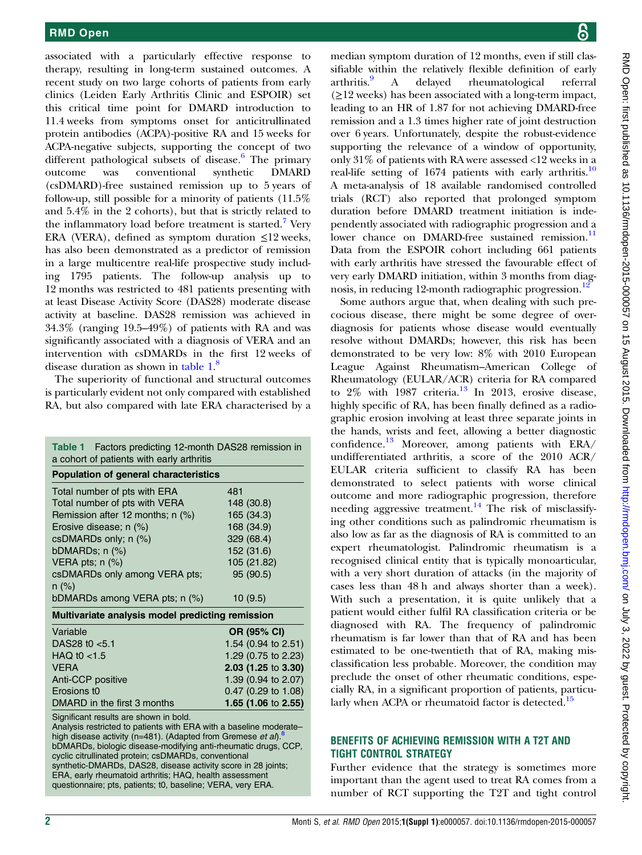associated with a particularly effective response to therapy, resulting in long-term sustained outcomes. A recent study on two large cohorts of patients from early clinics (Leiden Early Arthritis Clinic and ESPOIR) set this critical time point for DMARD introduction to 11.4 weeks from symptoms onset for anticitrullinated protein antibodies (ACPA)-positive RA and 15 weeks for ACPA-negative subjects, supporting the concept of two different pathological subsets of disease. $6$  The primary outcome was conventional synthetic DMARD (csDMARD)-free sustained remission up to 5 years of follow-up, still possible for a minority of patients (11.5% and 5.4% in the 2 cohorts), but that is strictly related to the inflammatory load before treatment is started.<sup>[7](#page-3-0)</sup> Very ERA (VERA), defined as symptom duration  $\leq$ 12 weeks, has also been demonstrated as a predictor of remission in a large multicentre real-life prospective study including 1795 patients. The follow-up analysis up to 12 months was restricted to 481 patients presenting with at least Disease Activity Score (DAS28) moderate disease activity at baseline. DAS28 remission was achieved in 34.3% (ranging 19.5–49%) of patients with RA and was significantly associated with a diagnosis of VERA and an intervention with csDMARDs in the first 12 weeks of disease duration as shown in table 1.<sup>[8](#page-3-0)</sup>

The superiority of functional and structural outcomes is particularly evident not only compared with established RA, but also compared with late ERA characterised by a

| Table 1 Factors predicting 12-month DAS28 remission in<br>a cohort of patients with early arthritis                                                                                                                                                                                                                                                                                                                                            |                     |
|------------------------------------------------------------------------------------------------------------------------------------------------------------------------------------------------------------------------------------------------------------------------------------------------------------------------------------------------------------------------------------------------------------------------------------------------|---------------------|
| <b>Population of general characteristics</b>                                                                                                                                                                                                                                                                                                                                                                                                   |                     |
| Total number of pts with ERA                                                                                                                                                                                                                                                                                                                                                                                                                   | 481                 |
| Total number of pts with VERA                                                                                                                                                                                                                                                                                                                                                                                                                  | 148 (30.8)          |
| Remission after 12 months; n (%)                                                                                                                                                                                                                                                                                                                                                                                                               | 165 (34.3)          |
| Erosive disease; n (%)                                                                                                                                                                                                                                                                                                                                                                                                                         | 168 (34.9)          |
| csDMARDs only; n (%)                                                                                                                                                                                                                                                                                                                                                                                                                           | 329 (68.4)          |
| bDMARDs; $n$ $(\%)$                                                                                                                                                                                                                                                                                                                                                                                                                            | 152 (31.6)          |
| VERA pts; $n$ $(\%)$                                                                                                                                                                                                                                                                                                                                                                                                                           | 105 (21.82)         |
| csDMARDs only among VERA pts;                                                                                                                                                                                                                                                                                                                                                                                                                  | 95 (90.5)           |
| $n (\%)$                                                                                                                                                                                                                                                                                                                                                                                                                                       |                     |
| bDMARDs among VERA pts; n (%)                                                                                                                                                                                                                                                                                                                                                                                                                  | 10(9.5)             |
| Multivariate analysis model predicting remission                                                                                                                                                                                                                                                                                                                                                                                               |                     |
| Variable                                                                                                                                                                                                                                                                                                                                                                                                                                       | OR (95% CI)         |
| DAS28 t0 $< 5.1$                                                                                                                                                                                                                                                                                                                                                                                                                               | 1.54 (0.94 to 2.51) |
| HAQ t <sub>0</sub> $<$ 1.5                                                                                                                                                                                                                                                                                                                                                                                                                     | 1.29 (0.75 to 2.23) |
| <b>VERA</b>                                                                                                                                                                                                                                                                                                                                                                                                                                    | 2.03 (1.25 to 3.30) |
| Anti-CCP positive                                                                                                                                                                                                                                                                                                                                                                                                                              | 1.39 (0.94 to 2.07) |
| Erosions t0                                                                                                                                                                                                                                                                                                                                                                                                                                    | 0.47 (0.29 to 1.08) |
| DMARD in the first 3 months                                                                                                                                                                                                                                                                                                                                                                                                                    | 1.65 (1.06 to 2.55) |
| Significant results are shown in bold.<br>Analysis restricted to patients with ERA with a baseline moderate-<br>high disease activity (n=481). (Adapted from Gremese <i>et al</i> ) $^8$<br>bDMARDs, biologic disease-modifying anti-rheumatic drugs, CCP,<br>cyclic citrullinated protein; csDMARDs, conventional<br>synthetic-DMARDs, DAS28, disease activity score in 28 joints;<br>ERA, early rheumatoid arthritis; HAQ, health assessment |                     |

questionnaire; pts, patients; t0, baseline; VERA, very ERA.

median symptom duration of 12 months, even if still classifiable within the relatively flexible definition of early arthritis.<sup>9</sup> A delayed rheumatological referral  $(\geq 12$  weeks) has been associated with a long-term impact, leading to an HR of 1.87 for not achieving DMARD-free remission and a 1.3 times higher rate of joint destruction over 6 years. Unfortunately, despite the robust-evidence supporting the relevance of a window of opportunity, only 31% of patients with RA were assessed <12 weeks in a real-life setting of 1674 patients with early arthritis.<sup>[10](#page-3-0)</sup> A meta-analysis of 18 available randomised controlled trials (RCT) also reported that prolonged symptom duration before DMARD treatment initiation is independently associated with radiographic progression and a lower chance on DMARD-free sustained remission.<sup>[11](#page-3-0)</sup> Data from the ESPOIR cohort including 661 patients with early arthritis have stressed the favourable effect of very early DMARD initiation, within 3 months from diag-nosis, in reducing [12](#page-3-0)-month radiographic progression.<sup>12</sup>

Some authors argue that, when dealing with such precocious disease, there might be some degree of overdiagnosis for patients whose disease would eventually resolve without DMARDs; however, this risk has been demonstrated to be very low: 8% with 2010 European League Against Rheumatism–American College of Rheumatology (EULAR/ACR) criteria for RA compared to  $2\%$  with 1987 criteria.<sup>[13](#page-3-0)</sup> In 2013, erosive disease, highly specific of RA, has been finally defined as a radiographic erosion involving at least three separate joints in the hands, wrists and feet, allowing a better diagnostic confidence.<sup>[13](#page-3-0)</sup> Moreover, among patients with  $ERA/$ undifferentiated arthritis, a score of the 2010 ACR/ EULAR criteria sufficient to classify RA has been demonstrated to select patients with worse clinical outcome and more radiographic progression, therefore needing aggressive treatment.<sup>[14](#page-3-0)</sup> The risk of misclassifying other conditions such as palindromic rheumatism is also low as far as the diagnosis of RA is committed to an expert rheumatologist. Palindromic rheumatism is a recognised clinical entity that is typically monoarticular, with a very short duration of attacks (in the majority of cases less than 48 h and always shorter than a week). With such a presentation, it is quite unlikely that a patient would either fulfil RA classification criteria or be diagnosed with RA. The frequency of palindromic rheumatism is far lower than that of RA and has been estimated to be one-twentieth that of RA, making misclassification less probable. Moreover, the condition may preclude the onset of other rheumatic conditions, especially RA, in a significant proportion of patients, particularly when ACPA or rheumatoid factor is detected.<sup>15</sup>

#### BENEFITS OF ACHIEVING REMISSION WITH A T2T AND TIGHT CONTROL STRATEGY

Further evidence that the strategy is sometimes more important than the agent used to treat RA comes from a number of RCT supporting the T2T and tight control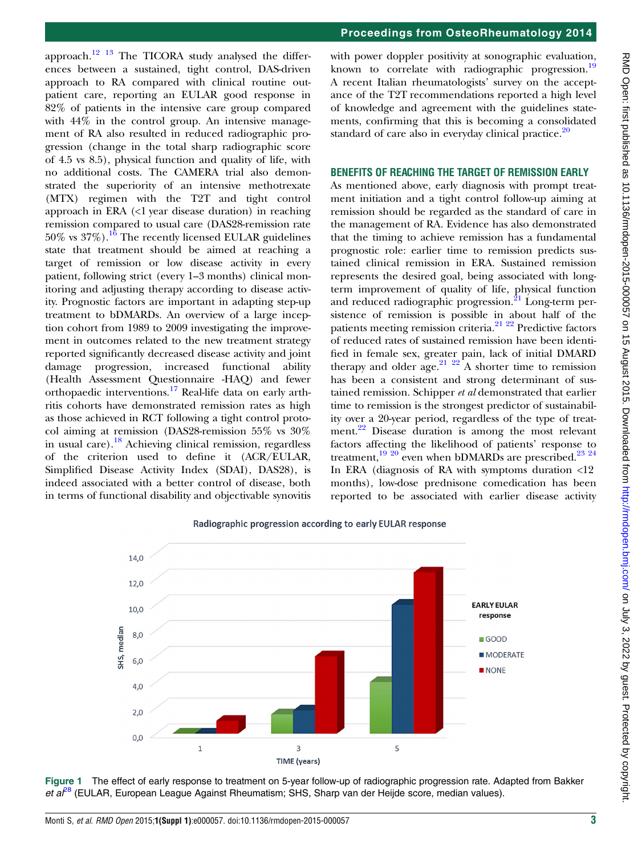Proceedings from OsteoRheumatology 2014

<span id="page-2-0"></span>approach.<sup>[12 13](#page-3-0)</sup> The TICORA study analysed the differences between a sustained, tight control, DAS-driven approach to RA compared with clinical routine outpatient care, reporting an EULAR good response in 82% of patients in the intensive care group compared with 44% in the control group. An intensive management of RA also resulted in reduced radiographic progression (change in the total sharp radiographic score of 4.5 vs 8.5), physical function and quality of life, with no additional costs. The CAMERA trial also demonstrated the superiority of an intensive methotrexate (MTX) regimen with the T2T and tight control approach in ERA (<1 year disease duration) in reaching remission compared to usual care (DAS28-remission rate  $50\%$  vs  $37\%$ ).<sup>[16](#page-4-0)</sup> The recently licensed EULAR guidelines state that treatment should be aimed at reaching a target of remission or low disease activity in every patient, following strict (every 1–3 months) clinical monitoring and adjusting therapy according to disease activity. Prognostic factors are important in adapting step-up treatment to bDMARDs. An overview of a large inception cohort from 1989 to 2009 investigating the improvement in outcomes related to the new treatment strategy reported significantly decreased disease activity and joint damage progression, increased functional ability (Health Assessment Questionnaire -HAQ) and fewer orthopaedic interventions.<sup>[17](#page-4-0)</sup> Real-life data on early arthritis cohorts have demonstrated remission rates as high as those achieved in RCT following a tight control protocol aiming at remission (DAS28-remission 55% vs 30% in usual care).<sup>[18](#page-4-0)</sup> Achieving clinical remission, regardless of the criterion used to define it (ACR/EULAR, Simplified Disease Activity Index (SDAI), DAS28), is indeed associated with a better control of disease, both in terms of functional disability and objectivable synovitis

with power doppler positivity at sonographic evaluation, known to correlate with radiographic progression.<sup>[19](#page-4-0)</sup> A recent Italian rheumatologists' survey on the acceptance of the T2T recommendations reported a high level of knowledge and agreement with the guidelines statements, confirming that this is becoming a consolidated standard of care also in everyday clinical practice. $20$ 

#### BENEFITS OF REACHING THE TARGET OF REMISSION EARLY

As mentioned above, early diagnosis with prompt treatment initiation and a tight control follow-up aiming at remission should be regarded as the standard of care in the management of RA. Evidence has also demonstrated that the timing to achieve remission has a fundamental prognostic role: earlier time to remission predicts sustained clinical remission in ERA. Sustained remission represents the desired goal, being associated with longterm improvement of quality of life, physical function and reduced radiographic progression.<sup>[21](#page-4-0)</sup> Long-term persistence of remission is possible in about half of the patients meeting remission criteria[.21 22](#page-4-0) Predictive factors of reduced rates of sustained remission have been identified in female sex, greater pain, lack of initial DMARD therapy and older age.<sup>21</sup>  $^{22}$  A shorter time to remission has been a consistent and strong determinant of sustained remission. Schipper et al demonstrated that earlier time to remission is the strongest predictor of sustainability over a 20-year period, regardless of the type of treat-ment.<sup>[22](#page-4-0)</sup> Disease duration is among the most relevant factors affecting the likelihood of patients' response to treatment,<sup>[19 20](#page-4-0)</sup> even when bDMARDs are prescribed.<sup>23 24</sup> In ERA (diagnosis of RA with symptoms duration  $\langle 12 \rangle$ months), low-dose prednisone comedication has been reported to be associated with earlier disease activity



Radiographic progression according to early EULAR response

Figure 1 The effect of early response to treatment on 5-year follow-up of radiographic progression rate. Adapted from Bakker et  $a^{28}$  $a^{28}$  $a^{28}$  (EULAR, European League Against Rheumatism; SHS, Sharp van der Heijde score, median values).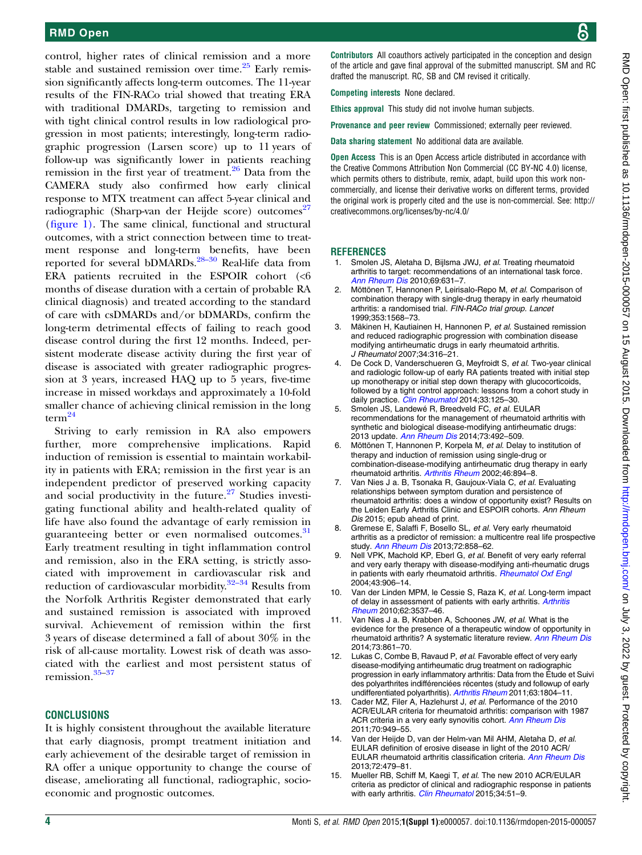<span id="page-3-0"></span>control, higher rates of clinical remission and a more stable and sustained remission over time. $^{25}$  $^{25}$  $^{25}$  Early remission significantly affects long-term outcomes. The 11-year results of the FIN-RACo trial showed that treating ERA with traditional DMARDs, targeting to remission and with tight clinical control results in low radiological progression in most patients; interestingly, long-term radiographic progression (Larsen score) up to 11 years of follow-up was significantly lower in patients reaching remission in the first year of treatment. $26$  Data from the CAMERA study also confirmed how early clinical response to MTX treatment can affect 5-year clinical and radiographic (Sharp-van der Heijde score) outcomes<sup>[27](#page-4-0)</sup> (fi[gure 1\)](#page-2-0). The same clinical, functional and structural outcomes, with a strict connection between time to treatment response and long-term benefits, have been reported for several bDMARDs.[28](#page-4-0)–<sup>30</sup> Real-life data from ERA patients recruited in the ESPOIR cohort (<6 months of disease duration with a certain of probable RA clinical diagnosis) and treated according to the standard of care with csDMARDs and/or bDMARDs, confirm the long-term detrimental effects of failing to reach good disease control during the first 12 months. Indeed, persistent moderate disease activity during the first year of disease is associated with greater radiographic progression at 3 years, increased HAQ up to 5 years, five-time increase in missed workdays and approximately a 10-fold smaller chance of achieving clinical remission in the long term $^{24}$  $^{24}$  $^{24}$ 

Striving to early remission in RA also empowers further, more comprehensive implications. Rapid induction of remission is essential to maintain workability in patients with ERA; remission in the first year is an independent predictor of preserved working capacity and social productivity in the future. $27$  Studies investigating functional ability and health-related quality of life have also found the advantage of early remission in guaranteeing better or even normalised outcomes.<sup>[31](#page-4-0)</sup> Early treatment resulting in tight inflammation control and remission, also in the ERA setting, is strictly associated with improvement in cardiovascular risk and reduction of cardiovascular morbidity.<sup>32–[34](#page-4-0)</sup> Results from the Norfolk Arthritis Register demonstrated that early and sustained remission is associated with improved survival. Achievement of remission within the first 3 years of disease determined a fall of about 30% in the risk of all-cause mortality. Lowest risk of death was associated with the earliest and most persistent status of remission.[35](#page-4-0)–[37](#page-4-0)

#### **CONCLUSIONS**

It is highly consistent throughout the available literature that early diagnosis, prompt treatment initiation and early achievement of the desirable target of remission in RA offer a unique opportunity to change the course of disease, ameliorating all functional, radiographic, socioeconomic and prognostic outcomes.

Contributors All coauthors actively participated in the conception and design of the article and gave final approval of the submitted manuscript. SM and RC drafted the manuscript. RC, SB and CM revised it critically.

Competing interests None declared.

Ethics approval This study did not involve human subjects.

Provenance and peer review Commissioned; externally peer reviewed.

Data sharing statement No additional data are available.

Open Access This is an Open Access article distributed in accordance with the Creative Commons Attribution Non Commercial (CC BY-NC 4.0) license, which permits others to distribute, remix, adapt, build upon this work noncommercially, and license their derivative works on different terms, provided the original work is properly cited and the use is non-commercial. See: [http://](http://creativecommons.org/licenses/by-nc/4.0/) [creativecommons.org/licenses/by-nc/4.0/](http://creativecommons.org/licenses/by-nc/4.0/)

#### **REFERENCES**

- Smolen JS, Aletaha D, Bijlsma JWJ, et al. Treating rheumatoid arthritis to target: recommendations of an international task force. [Ann Rheum Dis](http://dx.doi.org/10.1136/ard.2009.123919) 2010;69:631–7.
- 2. Möttönen T, Hannonen P, Leirisalo-Repo M, et al. Comparison of combination therapy with single-drug therapy in early rheumatoid arthritis: a randomised trial. FIN-RACo trial group. Lancet 1999;353:1568–73.
- 3. Mäkinen H, Kautiainen H, Hannonen P, et al. Sustained remission and reduced radiographic progression with combination disease modifying antirheumatic drugs in early rheumatoid arthritis. J Rheumatol 2007;34:316–21.
- De Cock D, Vanderschueren G, Meyfroidt S, et al. Two-year clinical and radiologic follow-up of early RA patients treated with initial step up monotherapy or initial step down therapy with glucocorticoids, followed by a tight control approach: lessons from a cohort study in daily practice. [Clin Rheumatol](http://dx.doi.org/10.1007/s10067-013-2398-9) 2014;33:125-30.
- 5. Smolen JS, Landewé R, Breedveld FC, et al. EULAR recommendations for the management of rheumatoid arthritis with synthetic and biological disease-modifying antirheumatic drugs: 2013 update. [Ann Rheum Dis](http://dx.doi.org/10.1136/annrheumdis-2013-204573) 2014;73:492–509.
- 6. Möttönen T, Hannonen P, Korpela M, et al. Delay to institution of therapy and induction of remission using single-drug or combination-disease-modifying antirheumatic drug therapy in early rheumatoid arthritis. [Arthritis Rheum](http://dx.doi.org/10.1002/art.10135) 2002;46:894–8.
- 7. Van Nies J a. B, Tsonaka R, Gaujoux-Viala C, et al. Evaluating relationships between symptom duration and persistence of rheumatoid arthritis: does a window of opportunity exist? Results on the Leiden Early Arthritis Clinic and ESPOIR cohorts. Ann Rheum Dis 2015; epub ahead of print.
- 8. Gremese E, Salaffi F, Bosello SL, et al. Very early rheumatoid arthritis as a predictor of remission: a multicentre real life prospective study. [Ann Rheum Dis](http://dx.doi.org/10.1136/annrheumdis-2012-201456) 2013;72:858-62.
- Nell VPK, Machold KP, Eberl G, et al. Benefit of very early referral and very early therapy with disease-modifying anti-rheumatic drugs in patients with early rheumatoid arthritis. **[Rheumatol Oxf Engl](http://dx.doi.org/10.1093/rheumatology/keh199)** 2004;43:906–14.
- 10. Van der Linden MPM, le Cessie S, Raza K, et al. Long-term impact of delay in assessment of patients with early arthritis. [Arthritis](http://dx.doi.org/10.1002/art.27692) [Rheum](http://dx.doi.org/10.1002/art.27692) 2010;62:3537–46.
- 11. Van Nies J a. B, Krabben A, Schoones JW, et al. What is the evidence for the presence of a therapeutic window of opportunity in rheumatoid arthritis? A systematic literature review. [Ann Rheum Dis](http://dx.doi.org/10.1136/annrheumdis-2012-203130) 2014;73:861–70.
- 12. Lukas C, Combe B, Ravaud P, et al. Favorable effect of very early disease-modifying antirheumatic drug treatment on radiographic progression in early inflammatory arthritis: Data from the Étude et Suivi des polyarthrites indifférenciées récentes (study and followup of early undifferentiated polyarthritis). [Arthritis Rheum](http://dx.doi.org/10.1002/art.30371) 2011;63:1804–11.
- 13. Cader MZ, Filer A, Hazlehurst J, et al. Performance of the 2010 ACR/EULAR criteria for rheumatoid arthritis: comparison with 1987 ACR criteria in a very early synovitis cohort. [Ann Rheum Dis](http://dx.doi.org/10.1136/ard.2010.143560) 2011;70:949–55.
- 14. Van der Heijde D, van der Helm-van Mil AHM, Aletaha D, et al. EULAR definition of erosive disease in light of the 2010 ACR/ EULAR rheumatoid arthritis classification criteria. [Ann Rheum Dis](http://dx.doi.org/10.1136/annrheumdis-2012-202779) 2013;72:479–81.
- 15. Mueller RB, Schiff M, Kaegi T, et al. The new 2010 ACR/EULAR criteria as predictor of clinical and radiographic response in patients with early arthritis. *[Clin Rheumatol](http://dx.doi.org/10.1007/s10067-014-2737-5)* 2015;34:51-9.